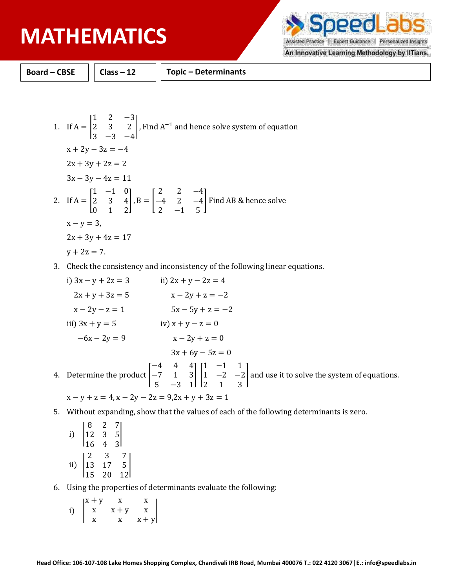PPO Assisted Practice | Expert Guidance | Personalized Insights

An Innovative Learning Methodology by IlTians.

**Board – CBSE Class – 12 Topic – Determinants**

1. If 
$$
A = \begin{bmatrix} 1 & 2 & -3 \ 2 & 3 & 2 \ 3 & -3 & -4 \end{bmatrix}
$$
, Find  $A^{-1}$  and hence solve system of equation  
\n $x + 2y - 3z = -4$   
\n $2x + 3y + 2z = 2$   
\n $3x - 3y - 4z = 11$   
\n2. If  $A = \begin{bmatrix} 1 & -1 & 0 \ 2 & 3 & 4 \ 0 & 1 & 2 \end{bmatrix}$ ,  $B = \begin{bmatrix} 2 & 2 & -4 \ -4 & 2 & -4 \ 2 & -1 & 5 \end{bmatrix}$  Find AB & hence solve  
\n $x - y = 3$ ,  
\n $2x + 3y + 4z = 17$   
\n $y + 2z = 7$ .

- 3. Check the consistency and inconsistency of the following linear equations.
- i)  $3x y + 2z = 3$  ii)  $2x + y 2z = 4$  $2x + y + 3z = 5$   $x - 2y + z = -2$  $x - 2y - z = 1$  5x - 5y + z = -2 iii)  $3x + y = 5$  iv)  $x + y - z = 0$  $-6x - 2y = 9$   $x - 2y + z = 0$  $3x + 6y - 5z = 0$ 4. Determine the product −4 4 4 −7 1 3 5 −3 1  $\prod$ 1 −1 1 1 −2 −2 2 1 3 ] and use it to solve the system of equations.  $x - y + z = 4$ ,  $x - 2y - 2z = 9$ ,  $2x + y + 3z = 1$
- 5. Without expanding, show that the values of each of the following determinants is zero.

|     | 8         | $\overline{c}$ |                |
|-----|-----------|----------------|----------------|
| i)  | 12        | 3              | 5              |
|     | <b>16</b> | 4              | $\overline{3}$ |
|     | 2         | 3              |                |
| ii) | 13        | $17\,$         | 5              |
|     | 15        | 20             | 12             |

- 6. Using the properties of determinants evaluate the following:
	- i) |  $x + y$   $x$   $x$  $x + y$  x  $x \times x + y$ |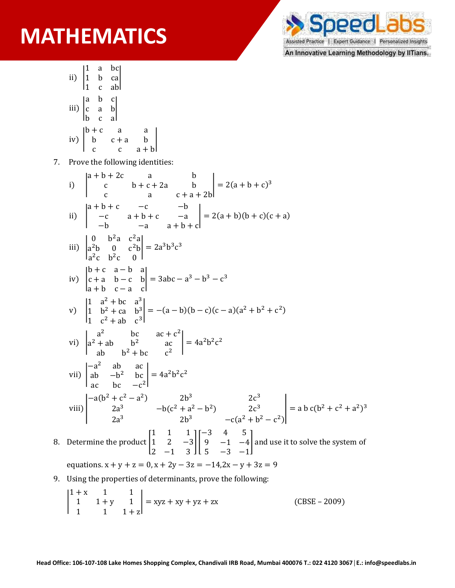

An Innovative Learning Methodology by IITians.

- ii) | 1 a bc 1 b ca 1 c ab | iii) | a b c c a b b c a |  $iv)$  |  $b+c$  a a  $b$   $c + a$   $b$ c  $c$   $a + b$
- 7. Prove the following identities:

|

- i) |  $a + b + 2c$  a b c  $b+c+2a$  b c a  $c + a + 2b$  $= 2(a + b + c)^3$ ii) |  $a + b + c$  −c −b −c a + b + c −a  $-b$   $-a$   $a + b + c$  $= 2(a + b)(b + c)(c + a)$ iii) | 0  $b^2a$   $c^2a$  $a^2b$  0  $c^2b$  $a^2c$   $b^2c$  0  $= 2a^3b^3c^3$ iv) | b + c a − b a  $c + a$  b – c b a + b c − a c  $= 3abc - a^3 - b^3 - c^3$  $\mathsf{v})$  | 1  $a^2 + bc$   $a^3$ 1  $b^2 + ca$   $b^3$ 1  $c^2 + ab$   $c^3$  $= -(a - b)(b - c)(c - a)(a<sup>2</sup> + b<sup>2</sup> + c<sup>2</sup>)$ vi) |  $a^2$  bc  $ac + c^2$  $a^2 + ab$   $b^2$  ac ab  $b^2 + bc$   $c^2$  $= 4a^2b^2c^2$ vii) | −a 2 ab ac ab  $-b^2$  bc ac bc  $-c^2$  $= 4a^2b^2c^2$ viii) |  $-a(b^2 + c^2 - a^2)$  2b<sup>3</sup> 2c<sup>3</sup>  $2a^3$   $-b(c^2 + a^2 - b^2)$   $2c^3$  $2b^3$   $-c(a^2 + b^2 - c^2)$  $=$  a b c(b<sup>2</sup> + c<sup>2</sup> + a<sup>2</sup>)<sup>3</sup> 8. Determine the product 1 1 1 1 2 −3 2 −1 3  $\prod$ −3 4 5 9 −1 −4 5 −3 −1 ] and use it to solve the system of equations.  $x + y + z = 0$ ,  $x + 2y - 3z = -14$ ,  $2x - y + 3z = 9$
- 9. Using the properties of determinants, prove the following:

$$
\begin{vmatrix} 1+x & 1 & 1 \ 1 & 1+y & 1 \ 1 & 1 & 1+z \end{vmatrix} = xyz + xy + yz + zx
$$
 (CBSE - 2009)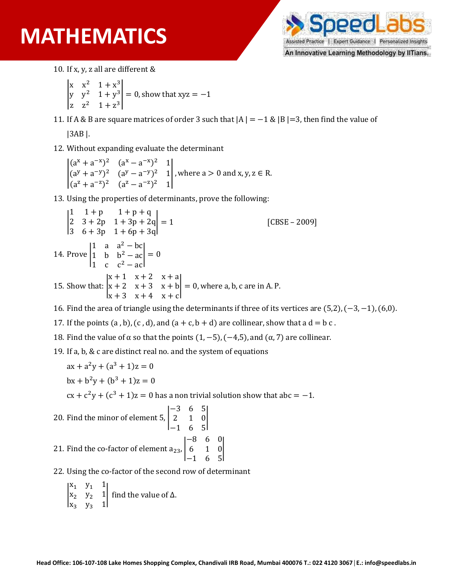

An Innovative Learning Methodology by IITians.

- 10. If x, y, z all are different &
	- |  $x^{2}$  1 +  $x^{3}$  $y^2 + y^3$ z  $z^2$   $1 + z^3$  $|= 0$ , show that xyz =  $-1$
- 11. If A & B are square matrices of order 3 such that  $|A| = -1$  &  $|B| = 3$ , then find the value of

|3AB |.

12. Without expanding evaluate the determinant

|  $(a^{x} + a^{-x})^{2}$   $(a^{x} - a^{-x})^{2}$  1  $(a^{y} + a^{-y})^{2}$   $(a^{y} - a^{-y})^{2}$  1  $(a^2 + a^{-2})^2$   $(a^2 - a^{-2})^2$  1 |, where  $a > 0$  and  $x, y, z \in R$ .

13. Using the properties of determinants, prove the following:

|  $1 + p + q$ 2  $3 + 2p$   $1 + 3p + 2q$  = 1 [CBSE – 2009]<br>3  $6 + 3p$   $1 + 6p + 3q$ 14. Prove | 1 a  $a^2 - bc$ 1 b  $b^2 - ac$ 1 c  $c^2 - ac$  $\vert = 0$ 15. Show that: |  $x + 1$   $x + 2$   $x + a$  $x + 2$   $x + 3$   $x + b$  $x + 3$   $x + 4$   $x + c$  $\vert = 0$ , where a, b, c are in A. P.

16. Find the area of triangle using the determinants if three of its vertices are (5,2), (−3, −1), (6,0).

17. If the points  $(a, b)$ ,  $(c, d)$ , and  $(a + c, b + d)$  are collinear, show that a  $d = b$  c.

18. Find the value of α so that the points  $(1, -5)$ ,  $(-4, 5)$ , and  $(α, 7)$  are collinear.

19. If a, b, & c are distinct real no. and the system of equations

 $ax + a^2y + (a^3 + 1)z = 0$  $bx + b^2y + (b^3 + 1)z = 0$ 

 $cx + c^2y + (c^3 + 1)z = 0$  has a non trivial solution show that abc = -1.

- 20. Find the minor of element 5, | −3 6 5 2 1 0 −1 6 5 | 21. Find the co-factor of element  $a_{23}$ ,  $|$ −8 6 0 6 1 0 −1 6 5 |
- 22. Using the co-factor of the second row of determinant
	- |  $x_1$   $y_1$  1  $x_2$   $y_2$  1  $x_3$   $y_3$  1 | find the value of ∆.